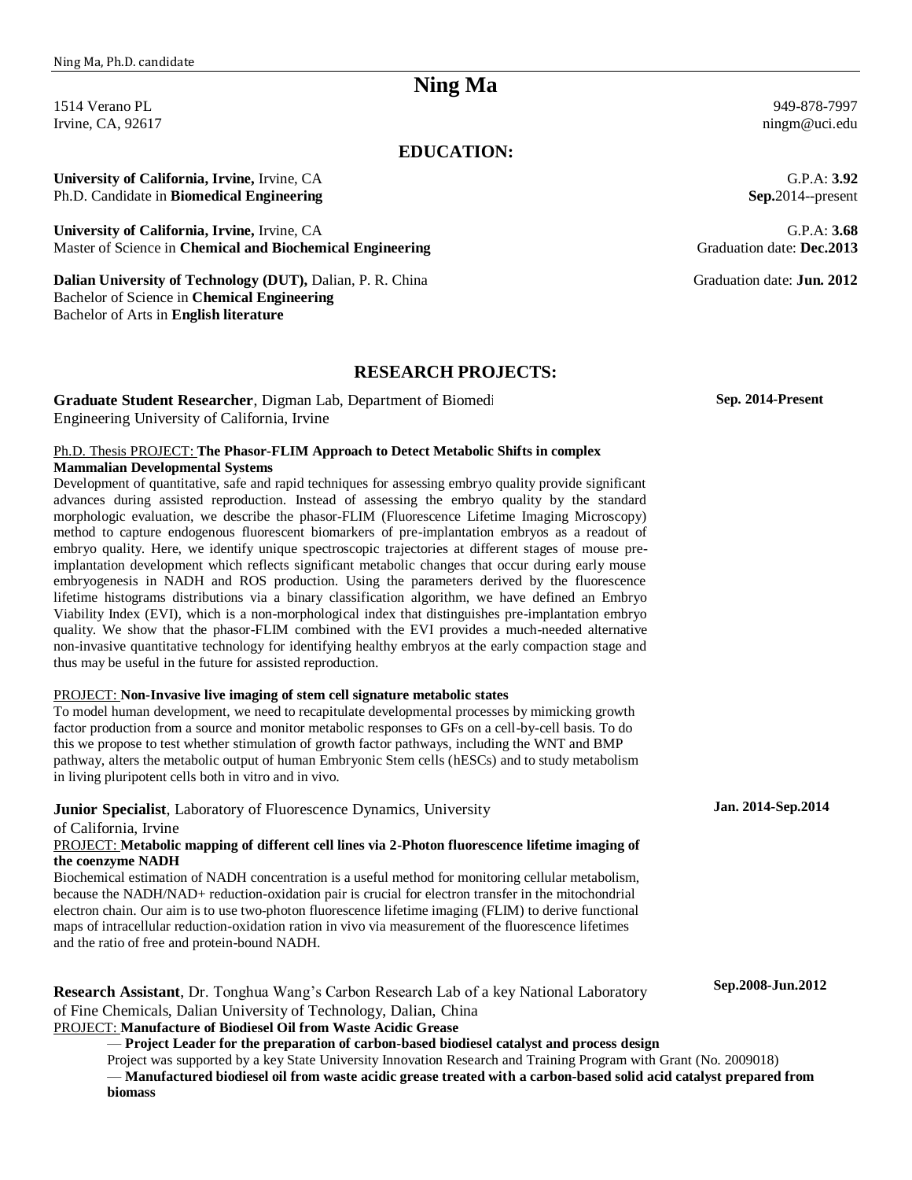# **Ning Ma**

1514 Verano PL Irvine, CA, 92617

### **EDUCATION:**

**University of California, Irvine,** Irvine, CA Ph.D. Candidate in **Biomedical Engineering**

**University of California, Irvine,** Irvine, CA Master of Science in **Chemical and Biochemical Engineering**

**Dalian University of Technology (DUT),** Dalian, P. R. China Bachelor of Science in **Chemical Engineering** Bachelor of Arts in **English literature**

#### **RESEARCH PROJECTS:**

**Graduate Student Researcher**, Digman Lab, Department of Biomedi Engineering University of California, Irvine

#### Ph.D. Thesis PROJECT: **The Phasor-FLIM Approach to Detect Metabolic Shifts in complex Mammalian Developmental Systems**

Development of quantitative, safe and rapid techniques for assessing embryo quality provide significant advances during assisted reproduction. Instead of assessing the embryo quality by the standard morphologic evaluation, we describe the phasor-FLIM (Fluorescence Lifetime Imaging Microscopy) method to capture endogenous fluorescent biomarkers of pre-implantation embryos as a readout of embryo quality. Here, we identify unique spectroscopic trajectories at different stages of mouse preimplantation development which reflects significant metabolic changes that occur during early mouse embryogenesis in NADH and ROS production. Using the parameters derived by the fluorescence lifetime histograms distributions via a binary classification algorithm, we have defined an Embryo Viability Index (EVI), which is a non-morphological index that distinguishes pre-implantation embryo quality. We show that the phasor-FLIM combined with the EVI provides a much-needed alternative non-invasive quantitative technology for identifying healthy embryos at the early compaction stage and thus may be useful in the future for assisted reproduction.

#### PROJECT: **Non-Invasive live imaging of stem cell signature metabolic states**

To model human development, we need to recapitulate developmental processes by mimicking growth factor production from a source and monitor metabolic responses to GFs on a cell-by-cell basis. To do this we propose to test whether stimulation of growth factor pathways, including the WNT and BMP pathway, alters the metabolic output of human Embryonic Stem cells (hESCs) and to study metabolism in living pluripotent cells both in vitro and in vivo.

#### **Junior Specialist**, Laboratory of Fluorescence Dynamics, University

#### of California, Irvine

#### PROJECT: **Metabolic mapping of different cell lines via 2-Photon fluorescence lifetime imaging of the coenzyme NADH**

Biochemical estimation of NADH concentration is a useful method for monitoring cellular metabolism, because the NADH/NAD+ reduction-oxidation pair is crucial for electron transfer in the mitochondrial electron chain. Our aim is to use two-photon fluorescence lifetime imaging (FLIM) to derive functional maps of intracellular reduction-oxidation ration in vivo via measurement of the fluorescence lifetimes and the ratio of free and protein-bound NADH.

**Research Assistant**, Dr. Tonghua Wang's Carbon Research Lab of a key National Laboratory of Fine Chemicals, Dalian University of Technology, Dalian, China

### PROJECT: **Manufacture of Biodiesel Oil from Waste Acidic Grease**

— **Project Leader for the preparation of carbon-based biodiesel catalyst and process design**

Project was supported by a key State University Innovation Research and Training Program with Grant (No. 2009018) — **Manufactured biodiesel oil from waste acidic grease treated with a carbon-based solid acid catalyst prepared from biomass**

949-878-7997 ningm@uci.edu

G.P.A: **3.92 Sep.**2014--present

G.P.A: **3.68** Graduation date: **Dec.2013**

Graduation date: **Jun. 2012**

 **Sep. 2014-Present**

 **Jan. 2014-Sep.2014**

 **Sep.2008-Jun.2012**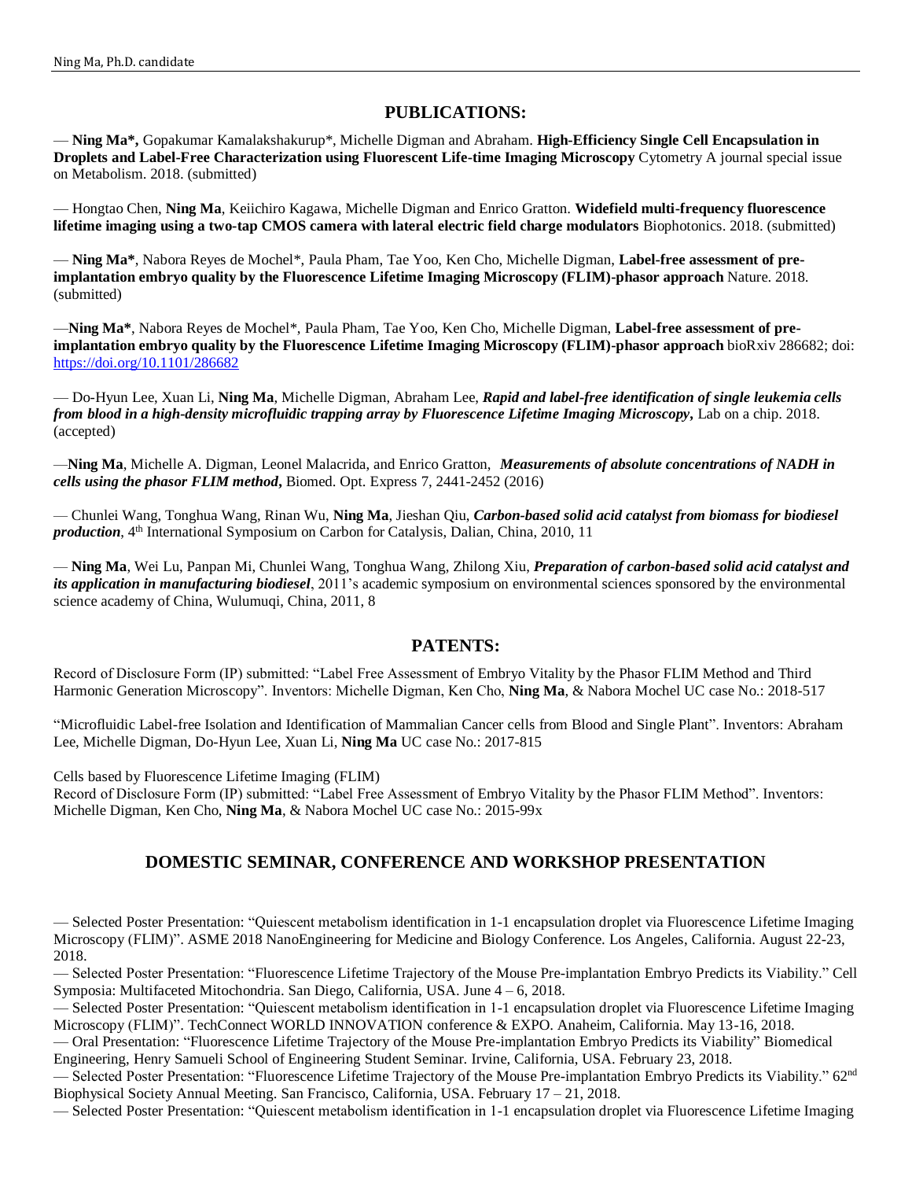### **PUBLICATIONS:**

— **Ning Ma\*,** Gopakumar Kamalakshakurup\*, Michelle Digman and Abraham. **High-Efficiency Single Cell Encapsulation in Droplets and Label-Free Characterization using Fluorescent Life-time Imaging Microscopy** Cytometry A journal special issue on Metabolism. 2018. (submitted)

— Hongtao Chen, **Ning Ma**, Keiichiro Kagawa, Michelle Digman and Enrico Gratton. **Widefield multi-frequency fluorescence lifetime imaging using a two-tap CMOS camera with lateral electric field charge modulators** Biophotonics. 2018. (submitted)

— **Ning Ma\***, Nabora Reyes de Mochel\*, Paula Pham, Tae Yoo, Ken Cho, Michelle Digman, **Label-free assessment of preimplantation embryo quality by the Fluorescence Lifetime Imaging Microscopy (FLIM)-phasor approach** Nature. 2018. (submitted)

—**Ning Ma\***, Nabora Reyes de Mochel\*, Paula Pham, Tae Yoo, Ken Cho, Michelle Digman, **Label-free assessment of preimplantation embryo quality by the Fluorescence Lifetime Imaging Microscopy (FLIM)-phasor approach** bioRxiv 286682; doi: <https://doi.org/10.1101/286682>

— Do-Hyun Lee, Xuan Li, **Ning Ma**, Michelle Digman, Abraham Lee, *Rapid and label-free identification of single leukemia cells from blood in a high-density microfluidic trapping array by Fluorescence Lifetime Imaging Microscopy,* Lab on a chip. 2018. (accepted)

—**Ning Ma**, Michelle A. Digman, Leonel Malacrida, and Enrico Gratton, *Measurements of absolute concentrations of NADH in cells using the phasor FLIM method***,** Biomed. Opt. Express 7, 2441-2452 (2016)

— Chunlei Wang, Tonghua Wang, Rinan Wu, **Ning Ma**, Jieshan Qiu, *Carbon-based solid acid catalyst from biomass for biodiesel production*, 4<sup>th</sup> International Symposium on Carbon for Catalysis, Dalian, China, 2010, 11

— **Ning Ma**, Wei Lu, Panpan Mi, Chunlei Wang, Tonghua Wang, Zhilong Xiu, *Preparation of carbon-based solid acid catalyst and its application in manufacturing biodiesel*, 2011's academic symposium on environmental sciences sponsored by the environmental science academy of China, Wulumuqi, China, 2011, 8

### **PATENTS:**

Record of Disclosure Form (IP) submitted: "Label Free Assessment of Embryo Vitality by the Phasor FLIM Method and Third Harmonic Generation Microscopy". Inventors: Michelle Digman, Ken Cho, **Ning Ma**, & Nabora Mochel UC case No.: 2018-517

"Microfluidic Label-free Isolation and Identification of Mammalian Cancer cells from Blood and Single Plant". Inventors: Abraham Lee, Michelle Digman, Do-Hyun Lee, Xuan Li, **Ning Ma** UC case No.: 2017-815

Cells based by Fluorescence Lifetime Imaging (FLIM)

Record of Disclosure Form (IP) submitted: "Label Free Assessment of Embryo Vitality by the Phasor FLIM Method". Inventors: Michelle Digman, Ken Cho, **Ning Ma**, & Nabora Mochel UC case No.: 2015-99x

## **DOMESTIC SEMINAR, CONFERENCE AND WORKSHOP PRESENTATION**

— Selected Poster Presentation: "Quiescent metabolism identification in 1-1 encapsulation droplet via Fluorescence Lifetime Imaging Microscopy (FLIM)". ASME 2018 NanoEngineering for Medicine and Biology Conference. Los Angeles, California. August 22-23, 2018.

— Selected Poster Presentation: "Fluorescence Lifetime Trajectory of the Mouse Pre-implantation Embryo Predicts its Viability." Cell Symposia: Multifaceted Mitochondria. San Diego, California, USA. June 4 – 6, 2018.

— Selected Poster Presentation: "Quiescent metabolism identification in 1-1 encapsulation droplet via Fluorescence Lifetime Imaging Microscopy (FLIM)". TechConnect WORLD INNOVATION conference & EXPO. Anaheim, California. May 13-16, 2018.

— Oral Presentation: "Fluorescence Lifetime Trajectory of the Mouse Pre-implantation Embryo Predicts its Viability" Biomedical Engineering, Henry Samueli School of Engineering Student Seminar. Irvine, California, USA. February 23, 2018.

— Selected Poster Presentation: "Fluorescence Lifetime Trajectory of the Mouse Pre-implantation Embryo Predicts its Viability." 62<sup>nd</sup> Biophysical Society Annual Meeting. San Francisco, California, USA. February 17 – 21, 2018.

— Selected Poster Presentation: "Quiescent metabolism identification in 1-1 encapsulation droplet via Fluorescence Lifetime Imaging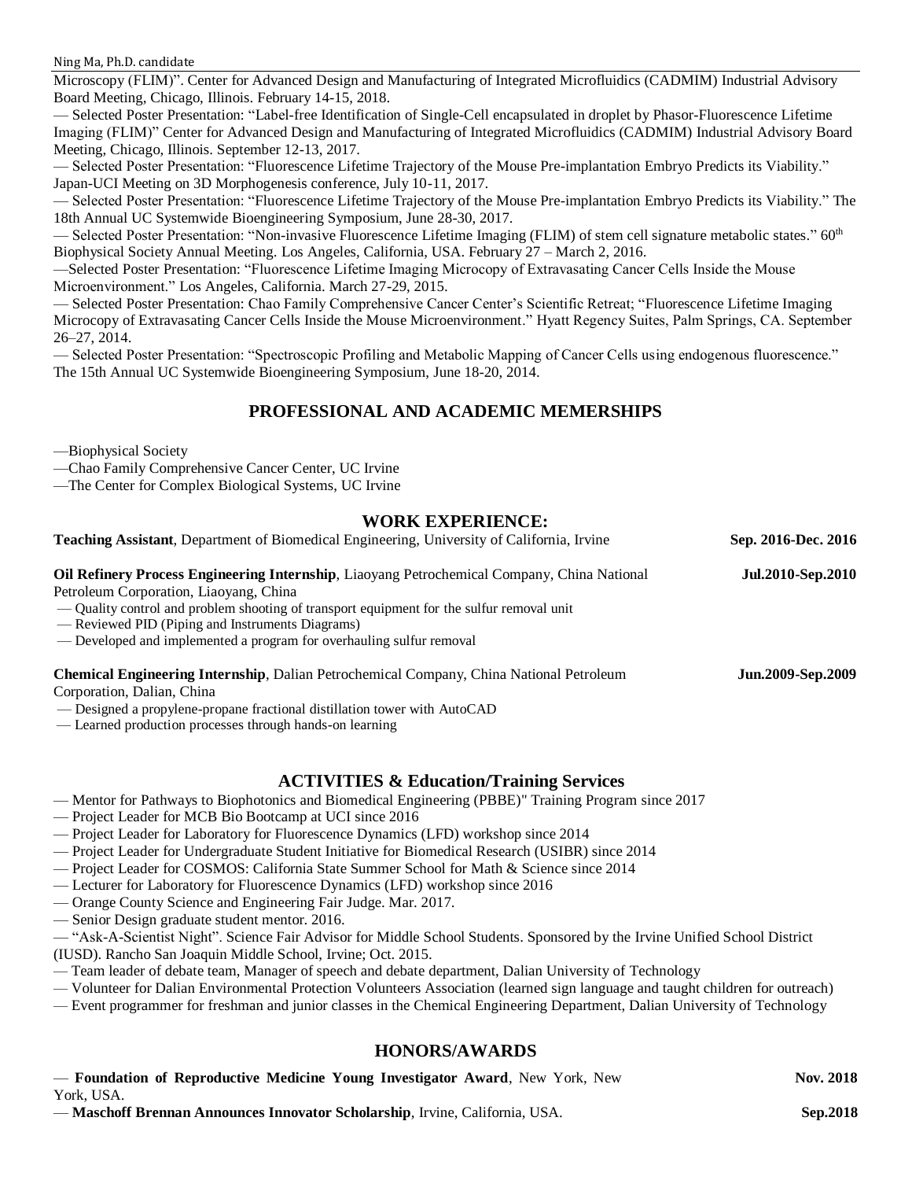#### Ning Ma, Ph.D. candidate

Microscopy (FLIM)". Center for Advanced Design and Manufacturing of Integrated Microfluidics (CADMIM) Industrial Advisory Board Meeting, Chicago, Illinois. February 14-15, 2018.

— Selected Poster Presentation: "Label-free Identification of Single-Cell encapsulated in droplet by Phasor-Fluorescence Lifetime Imaging (FLIM)" Center for Advanced Design and Manufacturing of Integrated Microfluidics (CADMIM) Industrial Advisory Board Meeting, Chicago, Illinois. September 12-13, 2017.

— Selected Poster Presentation: "Fluorescence Lifetime Trajectory of the Mouse Pre-implantation Embryo Predicts its Viability." Japan-UCI Meeting on 3D Morphogenesis conference, July 10-11, 2017.

— Selected Poster Presentation: "Fluorescence Lifetime Trajectory of the Mouse Pre-implantation Embryo Predicts its Viability." The 18th Annual UC Systemwide Bioengineering Symposium, June 28-30, 2017.

– Selected Poster Presentation: "Non-invasive Fluorescence Lifetime Imaging (FLIM) of stem cell signature metabolic states."  $60<sup>th</sup>$ Biophysical Society Annual Meeting. Los Angeles, California, USA. February 27 – March 2, 2016.

—Selected Poster Presentation: "Fluorescence Lifetime Imaging Microcopy of Extravasating Cancer Cells Inside the Mouse Microenvironment." Los Angeles, California. March 27-29, 2015.

— Selected Poster Presentation: Chao Family Comprehensive Cancer Center's Scientific Retreat; "Fluorescence Lifetime Imaging Microcopy of Extravasating Cancer Cells Inside the Mouse Microenvironment." Hyatt Regency Suites, Palm Springs, CA. September 26–27, 2014.

— Selected Poster Presentation: "Spectroscopic Profiling and Metabolic Mapping of Cancer Cells using endogenous fluorescence." The 15th Annual UC Systemwide Bioengineering Symposium, June 18-20, 2014.

### **PROFESSIONAL AND ACADEMIC MEMERSHIPS**

—Biophysical Society

—Chao Family Comprehensive Cancer Center, UC Irvine

—The Center for Complex Biological Systems, UC Irvine

#### **WORK EXPERIENCE:**

| <b>Teaching Assistant</b> , Department of Biomedical Engineering, University of California, Irvine | Sep. 2016-Dec. 2016      |
|----------------------------------------------------------------------------------------------------|--------------------------|
| <b>Oil Refinery Process Engineering Internship, Liaoyang Petrochemical Company, China National</b> | Jul.2010-Sep.2010        |
| Petroleum Corporation, Liaoyang, China                                                             |                          |
| — Quality control and problem shooting of transport equipment for the sulfur removal unit          |                          |
| — Reviewed PID (Piping and Instruments Diagrams)                                                   |                          |
| — Developed and implemented a program for overhauling sulfur removal                               |                          |
| <b>Chemical Engineering Internship, Dalian Petrochemical Company, China National Petroleum</b>     | <b>Jun.2009-Sep.2009</b> |
| Corporation, Dalian, China                                                                         |                          |
| — Designed a propylene-propane fractional distillation tower with AutoCAD                          |                          |
| — Learned production processes through hands-on learning                                           |                          |

#### **ACTIVITIES & Education/Training Services**

- Mentor for Pathways to Biophotonics and Biomedical Engineering (PBBE)" Training Program since 2017
- Project Leader for MCB Bio Bootcamp at UCI since 2016
- Project Leader for Laboratory for Fluorescence Dynamics (LFD) workshop since 2014
- Project Leader for Undergraduate Student Initiative for Biomedical Research (USIBR) since 2014
- Project Leader for COSMOS: California State Summer School for Math & Science since 2014
- Lecturer for Laboratory for Fluorescence Dynamics (LFD) workshop since 2016
- Orange County Science and Engineering Fair Judge. Mar. 2017.
- Senior Design graduate student mentor. 2016.

— "Ask-A-Scientist Night". Science Fair Advisor for Middle School Students. Sponsored by the Irvine Unified School District (IUSD). Rancho San Joaquin Middle School, Irvine; Oct. 2015.

— Team leader of debate team, Manager of speech and debate department, Dalian University of Technology

— Volunteer for Dalian Environmental Protection Volunteers Association (learned sign language and taught children for outreach)

— Event programmer for freshman and junior classes in the Chemical Engineering Department, Dalian University of Technology

### **HONORS/AWARDS**

| - Foundation of Reproductive Medicine Young Investigator Award, New York, New | <b>Nov. 2018</b> |
|-------------------------------------------------------------------------------|------------------|
| York, USA.                                                                    |                  |

— **Maschoff Brennan Announces Innovator Scholarship**, Irvine, California, USA.